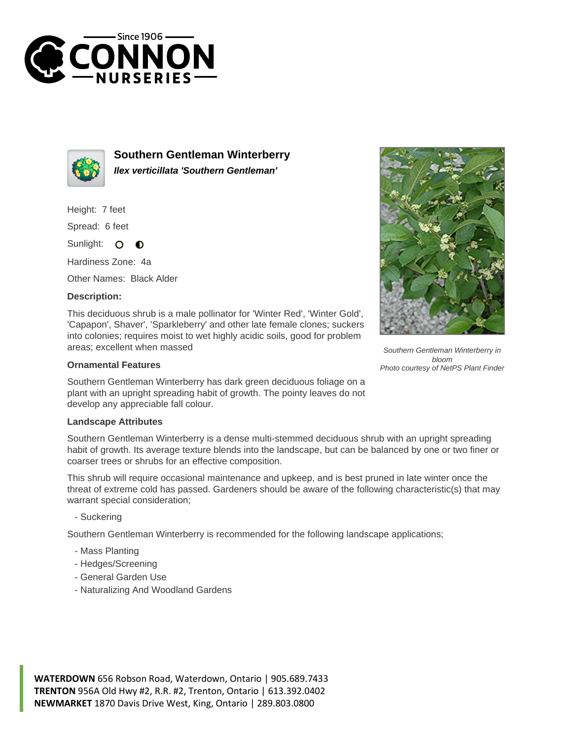



**Southern Gentleman Winterberry Ilex verticillata 'Southern Gentleman'**

Height: 7 feet

Spread: 6 feet

Sunlight: O  $\bullet$ 

Hardiness Zone: 4a

Other Names: Black Alder

## **Description:**

This deciduous shrub is a male pollinator for 'Winter Red', 'Winter Gold', 'Capapon', Shaver', 'Sparkleberry' and other late female clones; suckers into colonies; requires moist to wet highly acidic soils, good for problem areas; excellent when massed

## **Ornamental Features**

Southern Gentleman Winterberry has dark green deciduous foliage on a plant with an upright spreading habit of growth. The pointy leaves do not develop any appreciable fall colour.

## **Landscape Attributes**

Southern Gentleman Winterberry is a dense multi-stemmed deciduous shrub with an upright spreading habit of growth. Its average texture blends into the landscape, but can be balanced by one or two finer or coarser trees or shrubs for an effective composition.

This shrub will require occasional maintenance and upkeep, and is best pruned in late winter once the threat of extreme cold has passed. Gardeners should be aware of the following characteristic(s) that may warrant special consideration;

- Suckering

Southern Gentleman Winterberry is recommended for the following landscape applications;

- Mass Planting
- Hedges/Screening
- General Garden Use
- Naturalizing And Woodland Gardens

**WATERDOWN** 656 Robson Road, Waterdown, Ontario | 905.689.7433 **TRENTON** 956A Old Hwy #2, R.R. #2, Trenton, Ontario | 613.392.0402 **NEWMARKET** 1870 Davis Drive West, King, Ontario | 289.803.0800



Southern Gentleman Winterberry in bloom Photo courtesy of NetPS Plant Finder